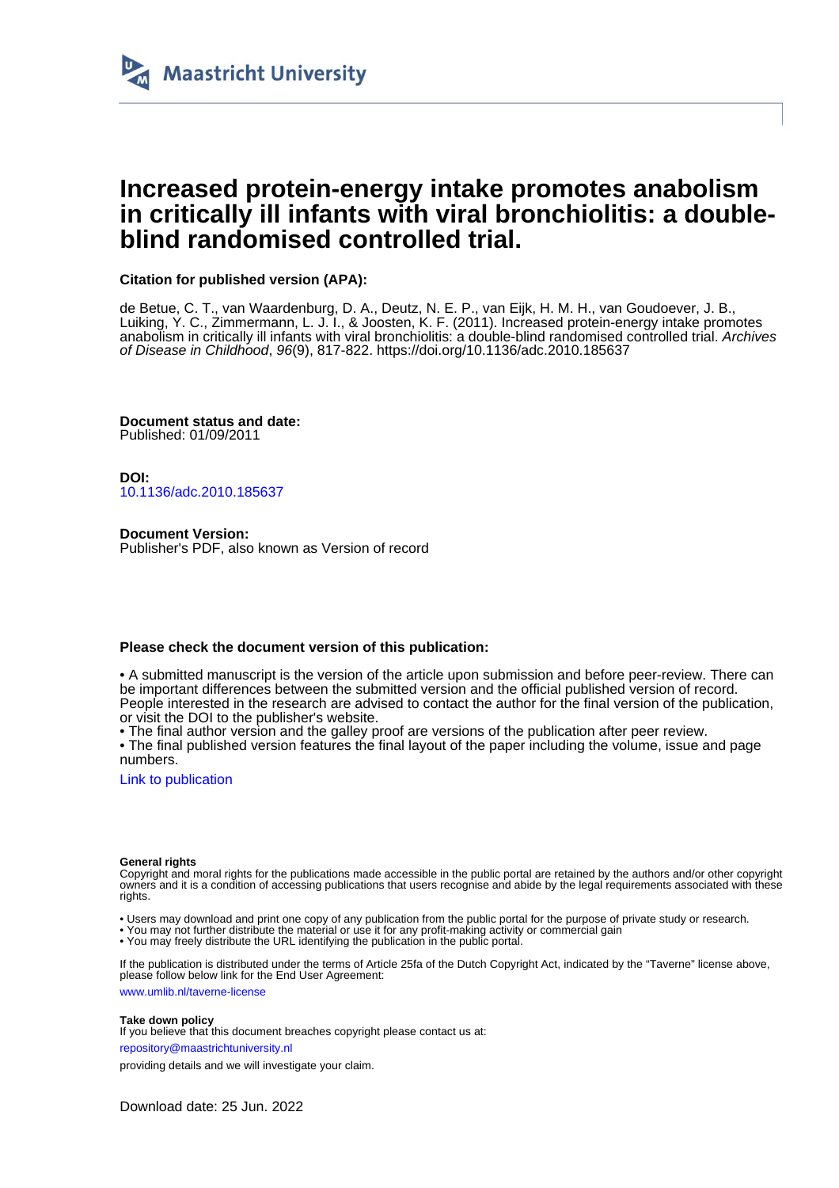

# **Increased protein-energy intake promotes anabolism in critically ill infants with viral bronchiolitis: a doubleblind randomised controlled trial.**

# **Citation for published version (APA):**

de Betue, C. T., van Waardenburg, D. A., Deutz, N. E. P., van Eijk, H. M. H., van Goudoever, J. B., Luiking, Y. C., Zimmermann, L. J. I., & Joosten, K. F. (2011). Increased protein-energy intake promotes anabolism in critically ill infants with viral bronchiolitis: a double-blind randomised controlled trial. Archives of Disease in Childhood, 96(9), 817-822.<https://doi.org/10.1136/adc.2010.185637>

**Document status and date:** Published: 01/09/2011

**DOI:** [10.1136/adc.2010.185637](https://doi.org/10.1136/adc.2010.185637)

**Document Version:** Publisher's PDF, also known as Version of record

## **Please check the document version of this publication:**

• A submitted manuscript is the version of the article upon submission and before peer-review. There can be important differences between the submitted version and the official published version of record. People interested in the research are advised to contact the author for the final version of the publication, or visit the DOI to the publisher's website.

• The final author version and the galley proof are versions of the publication after peer review.

• The final published version features the final layout of the paper including the volume, issue and page numbers.

[Link to publication](https://cris.maastrichtuniversity.nl/en/publications/499e56b9-00eb-492c-b24f-3ac39d90b5fd)

#### **General rights**

Copyright and moral rights for the publications made accessible in the public portal are retained by the authors and/or other copyright owners and it is a condition of accessing publications that users recognise and abide by the legal requirements associated with these rights.

- Users may download and print one copy of any publication from the public portal for the purpose of private study or research.
- You may not further distribute the material or use it for any profit-making activity or commercial gain
- You may freely distribute the URL identifying the publication in the public portal

If the publication is distributed under the terms of Article 25fa of the Dutch Copyright Act, indicated by the "Taverne" license above, please follow below link for the End User Agreement:

www.umlib.nl/taverne-license

#### **Take down policy**

If you believe that this document breaches copyright please contact us at:

repository@maastrichtuniversity.nl

providing details and we will investigate your claim.

Download date: 25 Jun. 2022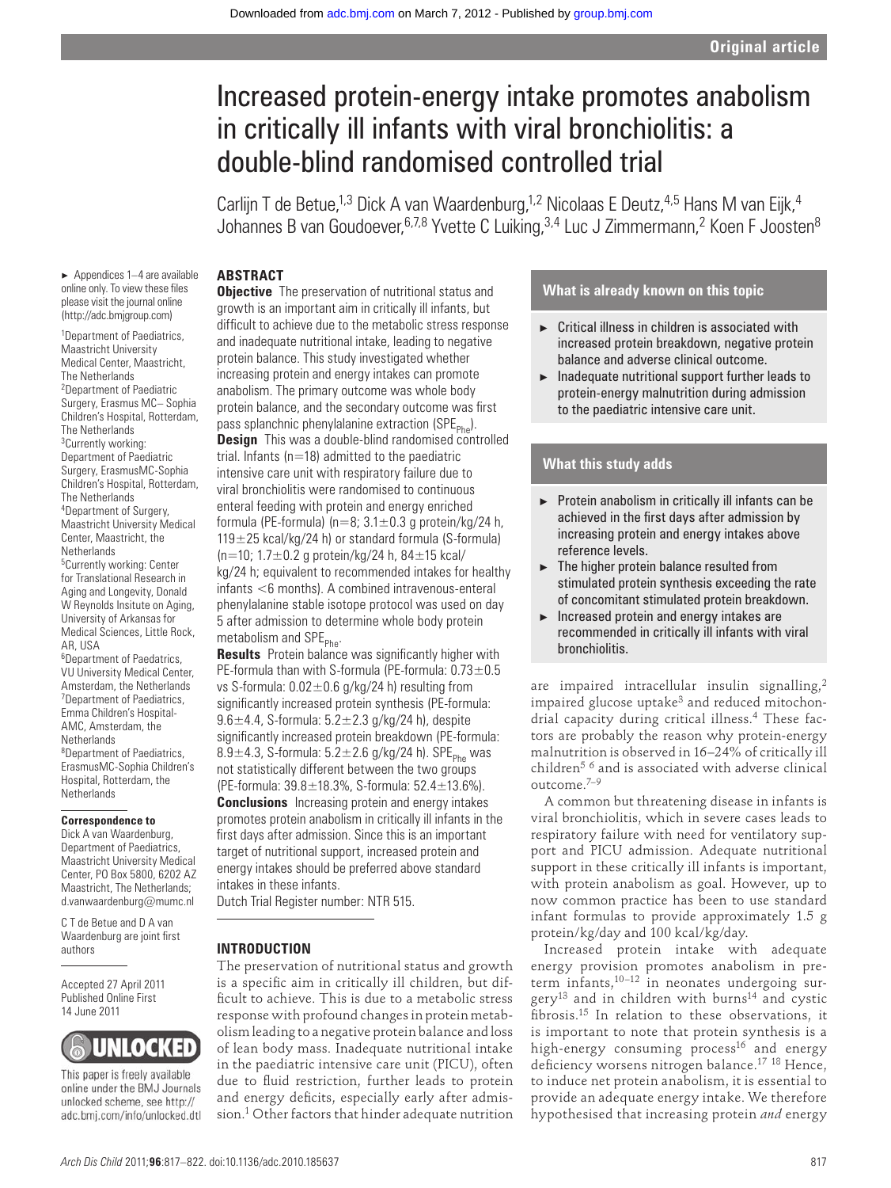# Increased protein-energy intake promotes anabolism in critically ill infants with viral bronchiolitis: a double-blind randomised controlled trial

Carlijn T de Betue,<sup>1,3</sup> Dick A van Waardenburg,<sup>1,2</sup> Nicolaas E Deutz,<sup>4,5</sup> Hans M van Eijk,<sup>4</sup> Johannes B van Goudoever, 6,7,8 Yvette C Luiking, 3,4 Luc J Zimmermann, 2 Koen F Joosten 8

## **ABSTRACT**

 $\blacktriangleright$  Appendices 1-4 are available online only. To view these files please visit the journal online (http://adc.bmjgroup.com)

1 Department of Paediatrics, Maastricht University Medical Center, Maastricht, The Netherlands 2 Department of Paediatric Surgery, Erasmus MC– Sophia Children's Hospital, Rotterdam, The Netherlands <sup>3</sup> Currently working: Department of Paediatric Surgery, ErasmusMC-Sophia Children's Hospital, Rotterdam, The Netherlands 4 Department of Surgery, Maastricht University Medical Center, Maastricht, the **Netherlands** 5Currently working: Center for Translational Research in Aging and Longevity, Donald W Reynolds Insitute on Aging, University of Arkansas for Medical Sciences, Little Rock, AR, USA 6Department of Paedatrics, VU University Medical Center, Amsterdam, the Netherlands 7Department of Paediatrics, Emma Children's Hospital-AMC, Amsterdam, the **Netherlands** 8Department of Paediatrics, ErasmusMC-Sophia Children's Hospital, Rotterdam, the Netherlands

#### **Correspondence to**

 Dick A van Waardenburg, Department of Paediatrics, Maastricht University Medical Center, PO Box 5800, 6202 AZ Maastricht, The Netherlands; d.vanwaardenburg@mumc.nl

C T de Betue and D A van Waardenburg are joint first authors

Accepted 27 April 2011 Published Online First 14 June 2011



This paper is freely available online under the BMJ Journals unlocked scheme, see http:// adc.bmj.com/info/unlocked.dtl **Objective** The preservation of nutritional status and growth is an important aim in critically ill infants, but difficult to achieve due to the metabolic stress response and inadequate nutritional intake, leading to negative protein balance. This study investigated whether increasing protein and energy intakes can promote anabolism. The primary outcome was whole body protein balance, and the secondary outcome was first pass splanchnic phenylalanine extraction ( $SPE<sub>Pho</sub>$ ). **Design** This was a double-blind randomised controlled trial. Infants ( $n=18$ ) admitted to the paediatric intensive care unit with respiratory failure due to

viral bronchiolitis were randomised to continuous enteral feeding with protein and energy enriched formula (PE-formula) ( $n=8$ ;  $3.1\pm0.3$  g protein/kg/24 h,  $119\pm25$  kcal/kg/24 h) or standard formula (S-formula) (n=10; 1.7±0.2 g protein/kg/24 h, 84±15 kcal/ kg/24 h; equivalent to recommended intakes for healthy infants <6 months). A combined intravenous-enteral phenylalanine stable isotope protocol was used on day 5 after admission to determine whole body protein metabolism and  $SPE<sub>php</sub>$ .

**Results** Protein balance was significantly higher with PE-formula than with S-formula (PE-formula:  $0.73\pm0.5$ vs S-formula:  $0.02 \pm 0.6$  g/kg/24 h) resulting from significantly increased protein synthesis (PE-formula: 9.6 $\pm$ 4.4, S-formula: 5.2 $\pm$ 2.3 g/kg/24 h), despite significantly increased protein breakdown (PE-formula: 8.9 $\pm$ 4.3, S-formula: 5.2 $\pm$ 2.6 g/kg/24 h). SPE<sub>Phe</sub> was not statistically different between the two groups (PE-formula: 39.8±18.3%, S-formula: 52.4±13.6%).

 **Conclusions** Increasing protein and energy intakes promotes protein anabolism in critically ill infants in the first days after admission. Since this is an important target of nutritional support, increased protein and energy intakes should be preferred above standard intakes in these infants.

Dutch Trial Register number: NTR 515.

#### **INTRODUCTION**

The preservation of nutritional status and growth is a specific aim in critically ill children, but difficult to achieve. This is due to a metabolic stress response with profound changes in protein metabolism leading to a negative protein balance and loss of lean body mass. Inadequate nutritional intake in the paediatric intensive care unit (PICU), often due to fluid restriction, further leads to protein and energy deficits, especially early after admission.<sup>1</sup> Other factors that hinder adequate nutrition

# **What is already known on this topic**

- $\triangleright$  Critical illness in children is associated with increased protein breakdown, negative protein balance and adverse clinical outcome.
- $\blacktriangleright$  Inadequate nutritional support further leads to protein-energy malnutrition during admission to the paediatric intensive care unit.

## **What this study adds**

- $\triangleright$  Protein anabolism in critically ill infants can be achieved in the first days after admission by increasing protein and energy intakes above reference levels.
- $\blacktriangleright$  The higher protein balance resulted from stimulated protein synthesis exceeding the rate of concomitant stimulated protein breakdown.
- $\blacktriangleright$  Increased protein and energy intakes are recommended in critically ill infants with viral bronchiolitis.

are impaired intracellular insulin signalling,<sup>2</sup> impaired glucose uptake<sup>3</sup> and reduced mitochondrial capacity during critical illness.<sup>4</sup> These factors are probably the reason why protein-energy malnutrition is observed in 16–24% of critically ill children<sup>56</sup> and is associated with adverse clinical outcome. 7–9

A common but threatening disease in infants is viral bronchiolitis, which in severe cases leads to respiratory failure with need for ventilatory support and PICU admission. Adequate nutritional support in these critically ill infants is important, with protein anabolism as goal. However, up to now common practice has been to use standard infant formulas to provide approximately 1.5 g protein/kg/day and 100 kcal/kg/day.

Increased protein intake with adequate energy provision promotes anabolism in preterm infants, $10-12$  in neonates undergoing surgery<sup>13</sup> and in children with burns<sup>14</sup> and cystic fibrosis.<sup>15</sup> In relation to these observations, it is important to note that protein synthesis is a high-energy consuming process<sup>16</sup> and energy deficiency worsens nitrogen balance.<sup>17 18</sup> Hence, to induce net protein anabolism, it is essential to provide an adequate energy intake. We therefore hypothesised that increasing protein *and* energy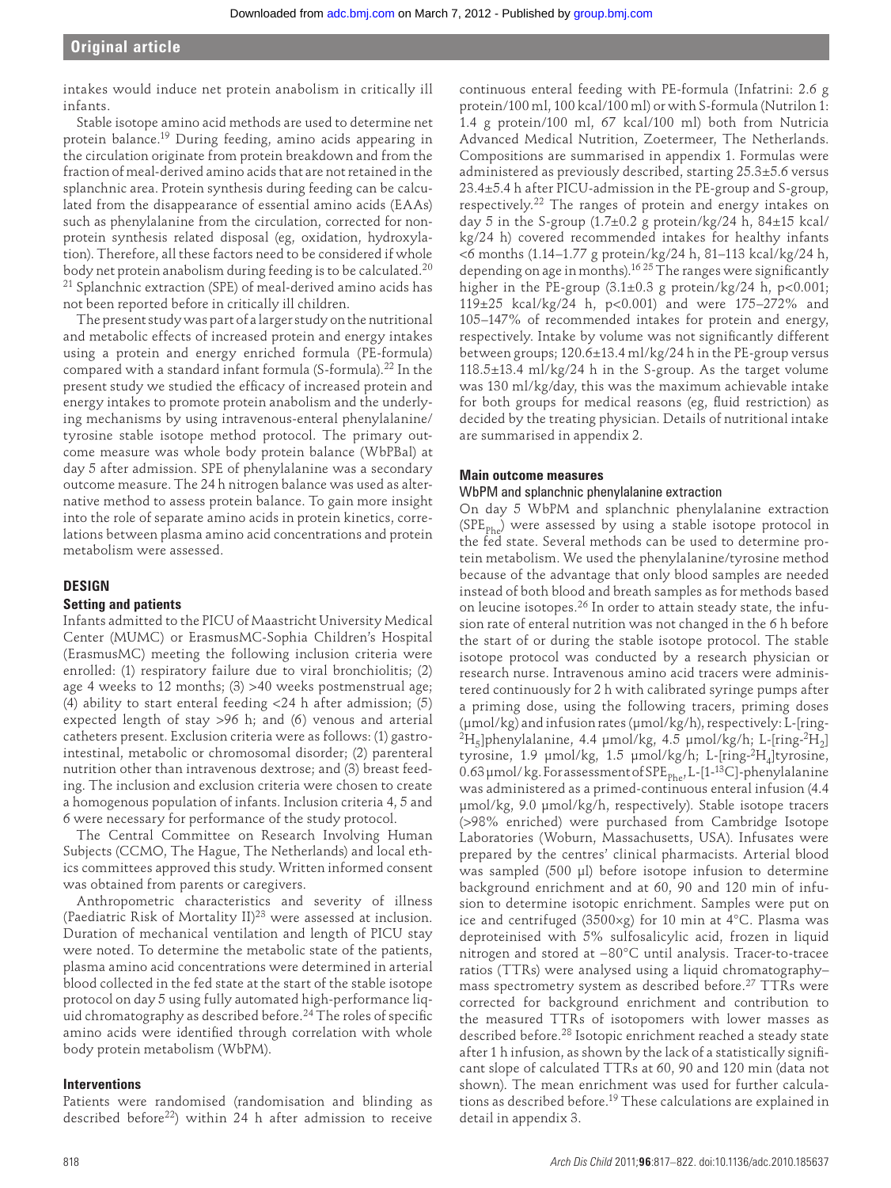intakes would induce net protein anabolism in critically ill infants.

Stable isotope amino acid methods are used to determine net protein balance. 19 During feeding, amino acids appearing in the circulation originate from protein breakdown and from the fraction of meal-derived amino acids that are not retained in the splanchnic area. Protein synthesis during feeding can be calculated from the disappearance of essential amino acids (EAAs) such as phenylalanine from the circulation, corrected for nonprotein synthesis related disposal (eg, oxidation, hydroxylation). Therefore, all these factors need to be considered if whole body net protein anabolism during feeding is to be calculated. 20 <sup>21</sup> Splanchnic extraction (SPE) of meal-derived amino acids has not been reported before in critically ill children.

The present study was part of a larger study on the nutritional and metabolic effects of increased protein and energy intakes using a protein and energy enriched formula (PE-formula) compared with a standard infant formula (S-formula). 22 In the present study we studied the efficacy of increased protein and energy intakes to promote protein anabolism and the underlying mechanisms by using intravenous-enteral phenylalanine/ tyrosine stable isotope method protocol. The primary outcome measure was whole body protein balance (WbPBal) at day 5 after admission. SPE of phenylalanine was a secondary outcome measure. The 24 h nitrogen balance was used as alternative method to assess protein balance. To gain more insight into the role of separate amino acids in protein kinetics, correlations between plasma amino acid concentrations and protein metabolism were assessed.

#### **DESIGN**

#### **Setting and patients**

Infants admitted to the PICU of Maastricht University Medical Center (MUMC) or ErasmusMC-Sophia Children's Hospital (ErasmusMC) meeting the following inclusion criteria were enrolled: (1) respiratory failure due to viral bronchiolitis; (2) age 4 weeks to 12 months; (3) >40 weeks postmenstrual age; (4) ability to start enteral feeding <24 h after admission; (5) expected length of stay  $>96$  h; and (6) venous and arterial catheters present. Exclusion criteria were as follows: (1) gastrointestinal, metabolic or chromosomal disorder; (2) parenteral nutrition other than intravenous dextrose; and (3) breast feeding. The inclusion and exclusion criteria were chosen to create a homogenous population of infants. Inclusion criteria 4, 5 and 6 were necessary for performance of the study protocol.

The Central Committee on Research Involving Human Subjects (CCMO, The Hague, The Netherlands) and local ethics committees approved this study. Written informed consent was obtained from parents or caregivers.

Anthropometric characteristics and severity of illness (Paediatric Risk of Mortality II) $^{23}$  were assessed at inclusion. Duration of mechanical ventilation and length of PICU stay were noted. To determine the metabolic state of the patients, plasma amino acid concentrations were determined in arterial blood collected in the fed state at the start of the stable isotope protocol on day 5 using fully automated high-performance liquid chromatography as described before.<sup>24</sup> The roles of specific amino acids were identified through correlation with whole body protein metabolism (WbPM).

#### **Interventions**

Patients were randomised (randomisation and blinding as described before<sup>22</sup>) within 24 h after admission to receive

continuous enteral feeding with PE-formula (Infatrini: 2.6 g protein/100 ml, 100 kcal/100 ml) or with S-formula (Nutrilon 1: 1.4 g protein/100 ml, 67 kcal/100 ml) both from Nutricia Advanced Medical Nutrition, Zoetermeer, The Netherlands. Compositions are summarised in appendix 1. Formulas were administered as previously described, starting 25.3±5.6 versus 23.4±5.4 h after PICU-admission in the PE-group and S-group, respectively.<sup>22</sup> The ranges of protein and energy intakes on day 5 in the S-group  $(1.7\pm0.2 \text{ g protein/kg}/24 \text{ h}, 84\pm15 \text{ kcal}$ kg/24 h) covered recommended intakes for healthy infants <6 months (1.14–1.77 g protein/kg/24 h, 81–113 kcal/kg/24 h, depending on age in months).  $1625$  The ranges were significantly higher in the PE-group  $(3.1\pm0.3 \text{ g} \text{ protein/kg}/24 \text{ h}, \text{ p} < 0.001;$ 119±25 kcal/kg/24 h, p<0.001) and were 175–272% and 105–147% of recommended intakes for protein and energy, respectively. Intake by volume was not significantly different between groups; 120.6±13.4 ml/kg/24 h in the PE-group versus 118.5±13.4 ml/kg/24 h in the S-group. As the target volume was 130 ml/kg/day, this was the maximum achievable intake for both groups for medical reasons (eg, fluid restriction) as decided by the treating physician. Details of nutritional intake are summarised in appendix 2.

#### **Main outcome measures**

#### WbPM and splanchnic phenylalanine extraction

On day 5 WbPM and splanchnic phenylalanine extraction  $(SPE<sub>phe</sub>)$  were assessed by using a stable isotope protocol in the fed state. Several methods can be used to determine protein metabolism. We used the phenylalanine/tyrosine method because of the advantage that only blood samples are needed instead of both blood and breath samples as for methods based on leucine isotopes. 26 In order to attain steady state, the infusion rate of enteral nutrition was not changed in the 6 h before the start of or during the stable isotope protocol. The stable isotope protocol was conducted by a research physician or research nurse. Intravenous amino acid tracers were administered continuously for 2 h with calibrated syringe pumps after a priming dose, using the following tracers, priming doses (μmol/kg) and infusion rates (μmol/kg/h), respectively: L-[ring-<sup>2</sup>H<sub>5</sub>]phenylalanine, 4.4 μmol/kg, 4.5 μmol/kg/h; L-[ring-<sup>2</sup>H<sub>2</sub>] tyrosine, 1.9  $\mu$ mol/kg, 1.5  $\mu$ mol/kg/h; L-[ring-<sup>2</sup>H<sub>4</sub>]tyrosine, 0.63  $\mu$ mol/kg. For assessment of SPE<sub>Phe</sub>, L-[1-<sup>13</sup>C]-phenylalanine was administered as a primed-continuous enteral infusion (4.4 μmol/kg, 9.0 μmol/kg/h, respectively). Stable isotope tracers (>98% enriched) were purchased from Cambridge Isotope Laboratories (Woburn, Massachusetts, USA). Infusates were prepared by the centres' clinical pharmacists. Arterial blood was sampled (500 μl) before isotope infusion to determine background enrichment and at 60, 90 and 120 min of infusion to determine isotopic enrichment. Samples were put on ice and centrifuged (3500×g) for 10 min at  $4^{\circ}$ C. Plasma was deproteinised with 5% sulfosalicylic acid, frozen in liquid nitrogen and stored at −80°C until analysis. Tracer-to-tracee ratios (TTRs) were analysed using a liquid chromatography– mass spectrometry system as described before.<sup>27</sup> TTRs were corrected for background enrichment and contribution to the measured TTRs of isotopomers with lower masses as described before.<sup>28</sup> Isotopic enrichment reached a steady state after 1 h infusion, as shown by the lack of a statistically significant slope of calculated TTRs at 60, 90 and 120 min (data not shown). The mean enrichment was used for further calculations as described before.<sup>19</sup> These calculations are explained in detail in appendix 3.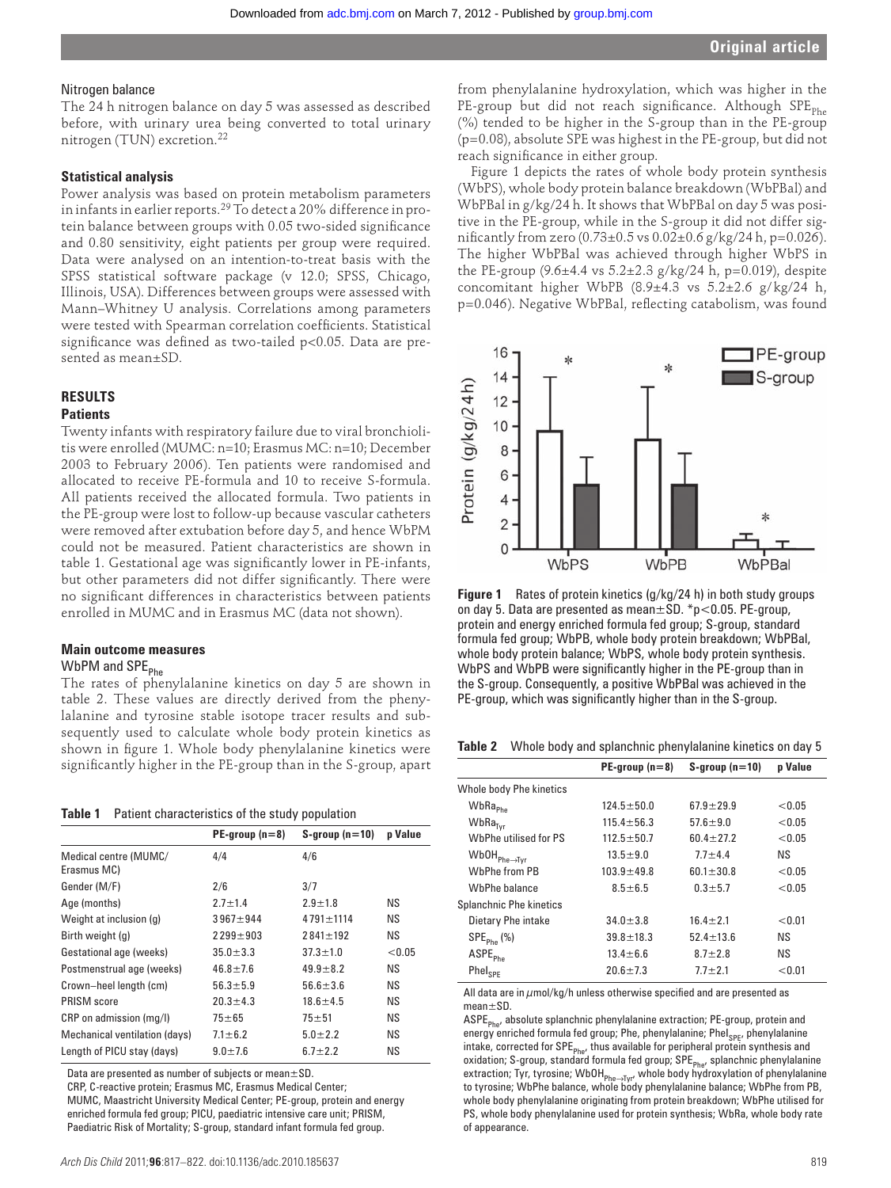#### Nitrogen balance

The 24 h nitrogen balance on day 5 was assessed as described before, with urinary urea being converted to total urinary nitrogen (TUN) excretion. 22

#### **Statistical analysis**

Power analysis was based on protein metabolism parameters in infants in earlier reports. 29 To detect a 20% difference in protein balance between groups with 0.05 two-sided significance and 0.80 sensitivity, eight patients per group were required. Data were analysed on an intention-to-treat basis with the SPSS statistical software package (v 12.0; SPSS, Chicago, Illinois, USA). Differences between groups were assessed with Mann–Whitney U analysis. Correlations among parameters were tested with Spearman correlation coefficients. Statistical significance was defined as two-tailed  $p<0.05$ . Data are presented as mean±SD.

# **RESULTS**

#### **Patients**

Twenty infants with respiratory failure due to viral bronchiolitis were enrolled (MUMC: n=10; Erasmus MC: n=10; December 2003 to February 2006). Ten patients were randomised and allocated to receive PE-formula and 10 to receive S-formula. All patients received the allocated formula. Two patients in the PE-group were lost to follow-up because vascular catheters were removed after extubation before day 5, and hence WbPM could not be measured. Patient characteristics are shown in table 1. Gestational age was significantly lower in PE-infants, but other parameters did not differ significantly. There were no significant differences in characteristics between patients enrolled in MUMC and in Erasmus MC (data not shown).

#### **Main outcome measures**

#### WbPM and  $SPE<sub>pho</sub>$

The rates of phenylalanine kinetics on day 5 are shown in table 2. These values are directly derived from the phenylalanine and tyrosine stable isotope tracer results and subsequently used to calculate whole body protein kinetics as shown in figure 1. Whole body phenylalanine kinetics were significantly higher in the PE-group than in the S-group, apart

| Table 1 | Patient characteristics of the study population |  |  |
|---------|-------------------------------------------------|--|--|
|---------|-------------------------------------------------|--|--|

|                                      | $PE-qroup (n=8)$ | $S$ -group $(n=10)$ | p Value   |
|--------------------------------------|------------------|---------------------|-----------|
| Medical centre (MUMC/<br>Erasmus MC) | 4/4              | 4/6                 |           |
| Gender (M/F)                         | 2/6              | 3/7                 |           |
| Age (months)                         | $2.7 \pm 1.4$    | $2.9 + 1.8$         | ΝS        |
| Weight at inclusion (g)              | $3967 + 944$     | $4791 \pm 1114$     | <b>NS</b> |
| Birth weight (g)                     | $2299 + 903$     | $2841 \pm 192$      | <b>NS</b> |
| Gestational age (weeks)              | $35.0 \pm 3.3$   | $37.3 \pm 1.0$      | < 0.05    |
| Postmenstrual age (weeks)            | $46.8 \pm 7.6$   | $49.9 + 8.2$        | ΝS        |
| Crown-heel length (cm)               | $56.3 \pm 5.9$   | $56.6 \pm 3.6$      | ΝS        |
| PRISM score                          | $20.3 + 4.3$     | $18.6 \pm 4.5$      | <b>NS</b> |
| CRP on admission (mg/l)              | $75 + 65$        | $75 + 51$           | <b>NS</b> |
| Mechanical ventilation (days)        | $7.1 \pm 6.2$    | $5.0 \pm 2.2$       | <b>NS</b> |
| Length of PICU stay (days)           | $9.0 + 7.6$      | $6.7 + 2.2$         | ΝS        |

Data are presented as number of subjects or mean±SD.

CRP, C-reactive protein; Erasmus MC, Erasmus Medical Center;

MUMC, Maastricht University Medical Center; PE-group, protein and energy enriched formula fed group; PICU, paediatric intensive care unit; PRISM, Paediatric Risk of Mortality; S-group, standard infant formula fed group.

from phenylalanine hydroxylation, which was higher in the PE-group but did not reach significance. Although SPE Phe (%) tended to be higher in the S-group than in the PE-group (p=0.08), absolute SPE was highest in the PE-group, but did not reach significance in either group.

Figure 1 depicts the rates of whole body protein synthesis (WbPS), whole body protein balance breakdown (WbPBal) and WbPBal in g/kg/24 h. It shows that WbPBal on day 5 was positive in the PE-group, while in the S-group it did not differ significantly from zero (0.73±0.5 vs  $0.02\pm0.6$  g/kg/24 h, p=0.026). The higher WbPBal was achieved through higher WbPS in the PE-group  $(9.6 \pm 4.4 \text{ vs } 5.2 \pm 2.3 \text{ g/kg}/24 \text{ h}, \text{ p=0.019})$ , despite concomitant higher WbPB (8.9 $\pm$ 4.3 vs 5.2 $\pm$ 2.6 g/kg/24 h,  $p=0.046$ ). Negative WbPBal, reflecting catabolism, was found



**Figure 1** Rates of protein kinetics (g/kg/24 h) in both study groups on day 5. Data are presented as mean±SD. \*p<0.05. PE-group, protein and energy enriched formula fed group; S-group, standard formula fed group; WbPB, whole body protein breakdown; WbPBal, whole body protein balance; WbPS, whole body protein synthesis. WbPS and WbPB were significantly higher in the PE-group than in the S-group. Consequently, a positive WbPBal was achieved in the PE-group, which was significantly higher than in the S-group.

 **Table 2** Whole body and splanchnic phenylalanine kinetics on day 5

|                                                       | $PE-qroup (n=8)$ | $S$ -group $(n=10)$ | <b>p</b> Value |
|-------------------------------------------------------|------------------|---------------------|----------------|
| Whole body Phe kinetics                               |                  |                     |                |
| WbRa <sub>Phe</sub>                                   | $124.5 \pm 50.0$ | $67.9 \pm 29.9$     | < 0.05         |
| $WbRa$ <sub>Tyr</sub>                                 | $115.4 \pm 56.3$ | $57.6 \pm 9.0$      | < 0.05         |
| WbPhe utilised for PS                                 | $112.5 \pm 50.7$ | $60.4 + 27.2$       | < 0.05         |
| $\mathsf{WbOH}_{\mathsf{Phe}\rightarrow\mathsf{Tyr}}$ | $13.5 \pm 9.0$   | $7.7 + 4.4$         | <b>NS</b>      |
| WhPhe from PR                                         | $103.9 + 49.8$   | $60.1 \pm 30.8$     | < 0.05         |
| WhPhe halance                                         | $8.5 \pm 6.5$    | $0.3 + 5.7$         | < 0.05         |
| <b>Splanchnic Phe kinetics</b>                        |                  |                     |                |
| Dietary Phe intake                                    | $34.0 \pm 3.8$   | $16.4 \pm 2.1$      | < 0.01         |
| $SPE_{Phe}$ (%)                                       | $39.8 \pm 18.3$  | $52.4 \pm 13.6$     | <b>NS</b>      |
| ASPE <sub>Phe</sub>                                   | $13.4 \pm 6.6$   | $8.7 + 2.8$         | <b>NS</b>      |
| $Phel_{SPE}$                                          | $20.6 + 7.3$     | $7.7 \pm 2.1$       | < 0.01         |

All data are in  $\mu$ mol/kg/h unless otherwise specified and are presented as mean±SD.

 $\mathsf{ASPE}_{\mathsf{Phe}'}$  absolute splanchnic phenylalanine extraction; PE-group, protein and energy enriched formula fed group; Phe, phenylalanine; Phel<sub>SPE</sub>, phenylalanine intake, corrected for SPE<sub>Phe</sub>, thus available for peripheral protein synthesis and oxidation; S-group, standard formula fed group;  $SPE_{Pher}$ , splanchnic phenylalanine extraction; Tyr, tyrosine; WbOH<sub>Phe→Tyr</sub>, whole body hydroxylation of phenylalanine to tyrosine; WbPhe balance, whole body phenylalanine balance; WbPhe from PB, whole body phenylalanine originating from protein breakdown; WbPhe utilised for PS, whole body phenylalanine used for protein synthesis; WbRa, whole body rate of appearance.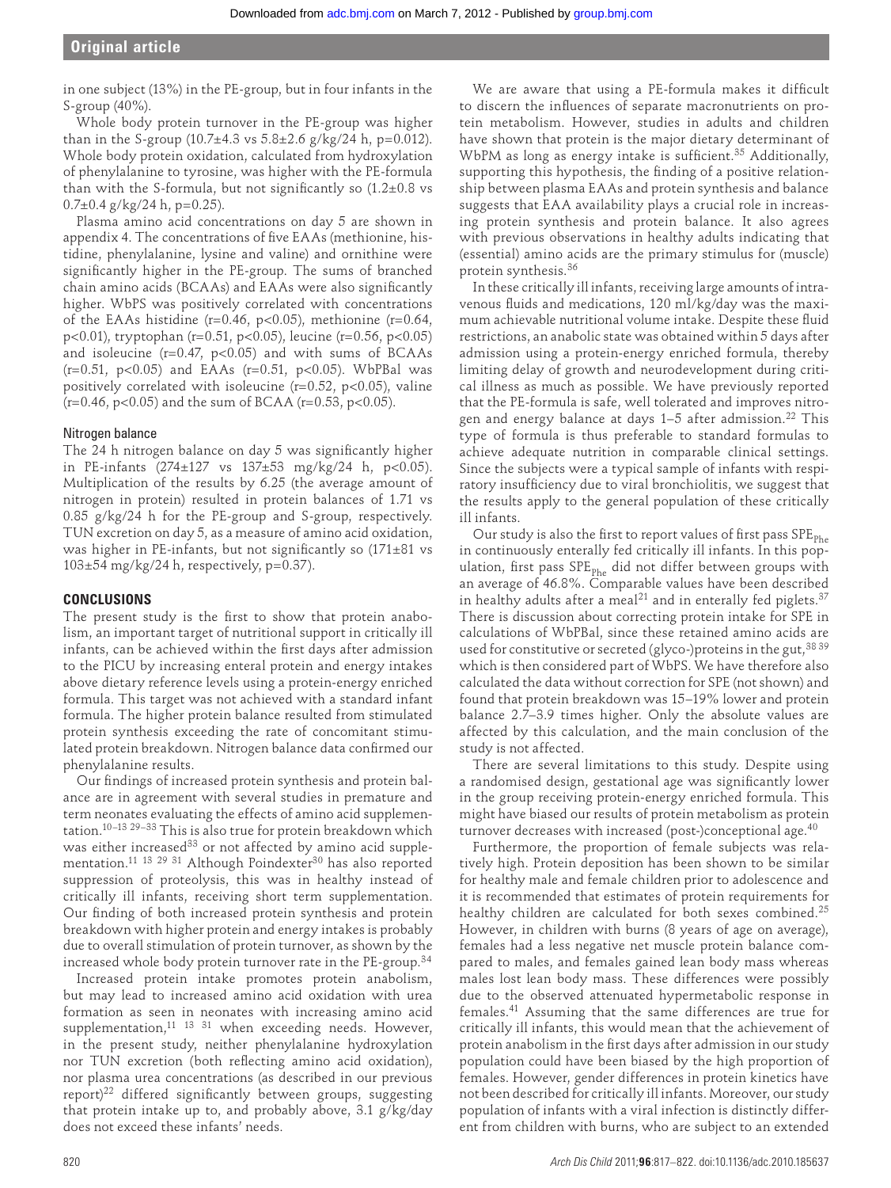in one subject (13%) in the PE-group, but in four infants in the S-group (40%).

Whole body protein turnover in the PE-group was higher than in the S-group  $(10.7\pm4.3 \text{ vs } 5.8\pm2.6 \text{ g/kg}/24 \text{ h}, \text{p=0.012}).$ Whole body protein oxidation, calculated from hydroxylation of phenylalanine to tyrosine, was higher with the PE-formula than with the S-formula, but not significantly so  $(1.2\pm0.8 \text{ vs }$  $0.7\pm0.4$  g/kg/24 h, p=0.25).

Plasma amino acid concentrations on day 5 are shown in appendix 4. The concentrations of five EAAs (methionine, histidine, phenylalanine, lysine and valine) and ornithine were significantly higher in the PE-group. The sums of branched chain amino acids (BCAAs) and EAAs were also significantly higher. WbPS was positively correlated with concentrations of the EAAs histidine ( $r=0.46$ ,  $p<0.05$ ), methionine ( $r=0.64$ , p<0.01), tryptophan (r=0.51, p<0.05), leucine (r=0.56, p<0.05) and isoleucine ( $r=0.47$ ,  $p<0.05$ ) and with sums of BCAAs ( $r=0.51$ ,  $p<0.05$ ) and EAAs ( $r=0.51$ ,  $p<0.05$ ). WbPBal was positively correlated with isoleucine ( $r=0.52$ ,  $p<0.05$ ), valine  $(r=0.46, p<0.05)$  and the sum of BCAA  $(r=0.53, p<0.05)$ .

#### Nitrogen balance

The 24 h nitrogen balance on day 5 was significantly higher in PE-infants (274±127 vs 137±53 mg/kg/24 h, p<0.05). Multiplication of the results by 6.25 (the average amount of nitrogen in protein) resulted in protein balances of 1.71 vs 0.85 g/kg/24 h for the PE-group and S-group, respectively. TUN excretion on day 5, as a measure of amino acid oxidation, was higher in PE-infants, but not significantly so  $(171\pm81 \text{ vs } 171\text{ s})$  $103\pm54$  mg/kg/24 h, respectively, p=0.37).

#### **CONCLUSIONS**

The present study is the first to show that protein anabolism, an important target of nutritional support in critically ill infants, can be achieved within the first days after admission to the PICU by increasing enteral protein and energy intakes above dietary reference levels using a protein-energy enriched formula. This target was not achieved with a standard infant formula. The higher protein balance resulted from stimulated protein synthesis exceeding the rate of concomitant stimulated protein breakdown. Nitrogen balance data confirmed our phenylalanine results.

Our findings of increased protein synthesis and protein balance are in agreement with several studies in premature and term neonates evaluating the effects of amino acid supplementation.<sup>10–13 29–33</sup> This is also true for protein breakdown which was either increased<sup>33</sup> or not affected by amino acid supplementation.<sup>11 13 29 31</sup> Although Poindexter<sup>30</sup> has also reported suppression of proteolysis, this was in healthy instead of critically ill infants, receiving short term supplementation. Our finding of both increased protein synthesis and protein breakdown with higher protein and energy intakes is probably due to overall stimulation of protein turnover, as shown by the increased whole body protein turnover rate in the PE-group. 34

Increased protein intake promotes protein anabolism, but may lead to increased amino acid oxidation with urea formation as seen in neonates with increasing amino acid supplementation, $11$   $13$   $31$  when exceeding needs. However, in the present study, neither phenylalanine hydroxylation nor TUN excretion (both reflecting amino acid oxidation), nor plasma urea concentrations (as described in our previous  $report)^{22}$  differed significantly between groups, suggesting that protein intake up to, and probably above, 3.1 g/kg/day does not exceed these infants' needs.

We are aware that using a PE-formula makes it difficult to discern the influences of separate macronutrients on protein metabolism. However, studies in adults and children have shown that protein is the major dietary determinant of WbPM as long as energy intake is sufficient.<sup>35</sup> Additionally, supporting this hypothesis, the finding of a positive relationship between plasma EAAs and protein synthesis and balance suggests that EAA availability plays a crucial role in increasing protein synthesis and protein balance. It also agrees with previous observations in healthy adults indicating that (essential) amino acids are the primary stimulus for (muscle) protein synthesis. 36

In these critically ill infants, receiving large amounts of intravenous fluids and medications, 120 ml/kg/day was the maximum achievable nutritional volume intake. Despite these fluid restrictions, an anabolic state was obtained within 5 days after admission using a protein-energy enriched formula, thereby limiting delay of growth and neurodevelopment during critical illness as much as possible. We have previously reported that the PE-formula is safe, well tolerated and improves nitrogen and energy balance at days 1-5 after admission.<sup>22</sup> This type of formula is thus preferable to standard formulas to achieve adequate nutrition in comparable clinical settings. Since the subjects were a typical sample of infants with respiratory insufficiency due to viral bronchiolitis, we suggest that the results apply to the general population of these critically ill infants.

Our study is also the first to report values of first pass  $SPE_{pho}$ in continuously enterally fed critically ill infants. In this population, first pass  $SPE<sub>Phe</sub>$  did not differ between groups with an average of 46.8%. Comparable values have been described in healthy adults after a meal<sup>21</sup> and in enterally fed piglets.<sup>37</sup> There is discussion about correcting protein intake for SPE in calculations of WbPBal, since these retained amino acids are used for constitutive or secreted (glyco-)proteins in the gut,<sup>38 39</sup> which is then considered part of WbPS. We have therefore also calculated the data without correction for SPE (not shown) and found that protein breakdown was 15–19% lower and protein balance 2.7–3.9 times higher. Only the absolute values are affected by this calculation, and the main conclusion of the study is not affected.

There are several limitations to this study. Despite using a randomised design, gestational age was significantly lower in the group receiving protein-energy enriched formula. This might have biased our results of protein metabolism as protein turnover decreases with increased (post-)conceptional age.<sup>40</sup>

Furthermore, the proportion of female subjects was relatively high. Protein deposition has been shown to be similar for healthy male and female children prior to adolescence and it is recommended that estimates of protein requirements for healthy children are calculated for both sexes combined.<sup>25</sup> However, in children with burns (8 years of age on average), females had a less negative net muscle protein balance compared to males, and females gained lean body mass whereas males lost lean body mass. These differences were possibly due to the observed attenuated hypermetabolic response in females. 41 Assuming that the same differences are true for critically ill infants, this would mean that the achievement of protein anabolism in the first days after admission in our study population could have been biased by the high proportion of females. However, gender differences in protein kinetics have not been described for critically ill infants. Moreover, our study population of infants with a viral infection is distinctly different from children with burns, who are subject to an extended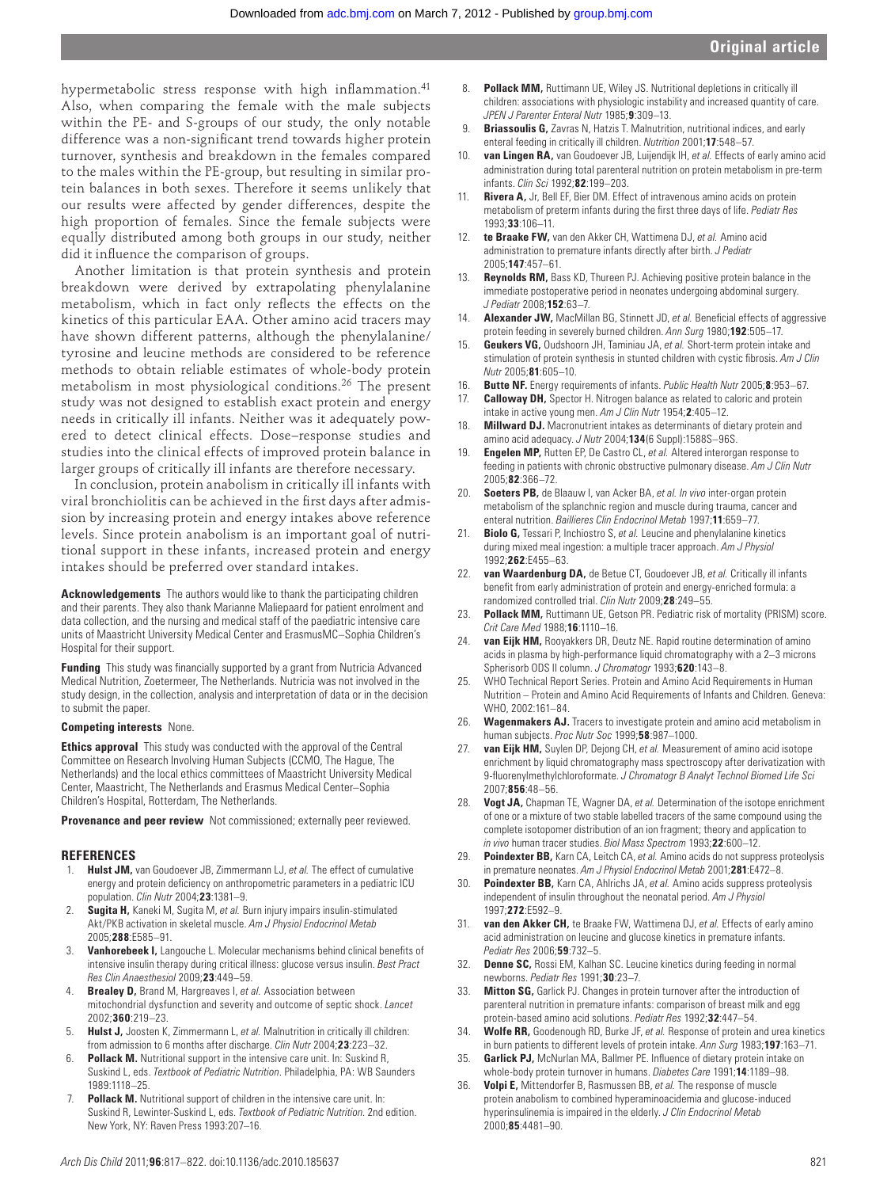hypermetabolic stress response with high inflammation.<sup>41</sup> Also, when comparing the female with the male subjects within the PE- and S-groups of our study, the only notable difference was a non-significant trend towards higher protein turnover, synthesis and breakdown in the females compared to the males within the PE-group, but resulting in similar protein balances in both sexes. Therefore it seems unlikely that our results were affected by gender differences, despite the high proportion of females. Since the female subjects were equally distributed among both groups in our study, neither did it influence the comparison of groups.

Another limitation is that protein synthesis and protein breakdown were derived by extrapolating phenylalanine metabolism, which in fact only reflects the effects on the kinetics of this particular EAA. Other amino acid tracers may have shown different patterns, although the phenylalanine/ tyrosine and leucine methods are considered to be reference methods to obtain reliable estimates of whole-body protein metabolism in most physiological conditions. 26 The present study was not designed to establish exact protein and energy needs in critically ill infants. Neither was it adequately powered to detect clinical effects. Dose–response studies and studies into the clinical effects of improved protein balance in larger groups of critically ill infants are therefore necessary.

In conclusion, protein anabolism in critically ill infants with viral bronchiolitis can be achieved in the first days after admission by increasing protein and energy intakes above reference levels. Since protein anabolism is an important goal of nutritional support in these infants, increased protein and energy intakes should be preferred over standard intakes.

 **Acknowledgements** The authors would like to thank the participating children and their parents. They also thank Marianne Maliepaard for patient enrolment and data collection, and the nursing and medical staff of the paediatric intensive care units of Maastricht University Medical Center and ErasmusMC–Sophia Children's Hospital for their support.

Funding This study was financially supported by a grant from Nutricia Advanced Medical Nutrition, Zoetermeer, The Netherlands. Nutricia was not involved in the study design, in the collection, analysis and interpretation of data or in the decision to submit the paper.

#### **Competing interests** None.

 **Ethics approval** This study was conducted with the approval of the Central Committee on Research Involving Human Subjects (CCMO, The Hague, The Netherlands) and the local ethics committees of Maastricht University Medical Center, Maastricht, The Netherlands and Erasmus Medical Center–Sophia Children's Hospital, Rotterdam, The Netherlands.

**Provenance and peer review** Not commissioned; externally peer reviewed.

#### **REFERENCES**

- 1. **Hulst JM,** van Goudoever JB, Zimmermann LJ, *et al.* The effect of cumulative energy and protein deficiency on anthropometric parameters in a pediatric ICU population. *Clin Nutr* 2004 ; **23** : 1381 – 9 .
- 2. **Sugita H,** Kaneki M, Sugita M, *et al.* Burn injury impairs insulin-stimulated Akt/PKB activation in skeletal muscle. *Am J Physiol Endocrinol Metab* 2005 ; **288** : E585 – 91 .
- 3. **Vanhorebeek I,** Langouche L. Molecular mechanisms behind clinical benefits of intensive insulin therapy during critical illness: glucose versus insulin. *Best Pract Res Clin Anaesthesiol* 2009 ; **23** : 449 – 59 .
- 4. **Brealey D,** Brand M, Hargreaves I, *et al.* Association between mitochondrial dysfunction and severity and outcome of septic shock. *Lancet* 2002 ; **360** : 219 – 23 .
- 5. **Hulst J,** Joosten K, Zimmermann L, *et al.* Malnutrition in critically ill children: from admission to 6 months after discharge. *Clin Nutr* 2004;23:223-32.
- 6. **Pollack M.** Nutritional support in the intensive care unit. In: Suskind R, Suskind L, eds. *Textbook of Pediatric Nutrition*. Philadelphia, PA: WB Saunders 1989 · 1118-25
- 7. **Pollack M.** Nutritional support of children in the intensive care unit. In: Suskind R, Lewinter-Suskind L, eds . *Textbook of Pediatric Nutrition* . 2nd edition . New York, NY: Raven Press 1993:207-16.
- 8. **Pollack MM,** Ruttimann UE, Wiley JS. Nutritional depletions in critically ill children: associations with physiologic instability and increased quantity of care. *JPEN J Parenter Enteral Nutr* 1985 ; **9** : 309 – 13 .
- 9. **Briassoulis G,** Zavras N, Hatzis T. Malnutrition, nutritional indices, and early enteral feeding in critically ill children. *Nutrition* 2001;17:548-57.
- 10. **van Lingen RA,** van Goudoever JB, Luijendijk IH, *et al.* Effects of early amino acid administration during total parenteral nutrition on protein metabolism in pre-term infants. *Clin Sci* 1992 ; **82** : 199 – 203 .
- 11. **Rivera A,** Jr , Bell EF, Bier DM. Effect of intravenous amino acids on protein metabolism of preterm infants during the first three days of life. *Pediatr Res* 1993 ; **33** : 106 – 11 .
- 12. **te Braake FW,** van den Akker CH, Wattimena DJ, *et al.* Amino acid administration to premature infants directly after birth. *J Pediatr* 2005 ; **147** : 457 – 61 .
- 13. **Reynolds RM,** Bass KD, Thureen PJ. Achieving positive protein balance in the immediate postoperative period in neonates undergoing abdominal surgery. *J Pediatr* 2008 ; **152** : 63 – 7 .
- 14. **Alexander JW, MacMillan BG, Stinnett JD, et al. Beneficial effects of aggressive** protein feeding in severely burned children. Ann Surg 1980;192:505-17.
- 15. **Geukers VG,** Oudshoorn JH, Taminiau JA, *et al.* Short-term protein intake and stimulation of protein synthesis in stunted children with cystic fibrosis. Am J Clin *Nutr* 2005 ; **81** : 605 – 10 .
- 16. **Butte NF.** Energy requirements of infants. *Public Health Nutr* 2005 ; **8** : 953 67 .
- 17. **Calloway DH,** Spector H. Nitrogen balance as related to caloric and protein intake in active young men. Am J Clin Nutr 1954; **2**:405-12.
- 18. **Millward DJ.** Macronutrient intakes as determinants of dietary protein and amino acid adequacy. *J Nutr* 2004;134(6 Suppl):1588S-96S.
- 19. **Engelen MP,** Rutten EP, De Castro CL, *et al.* Altered interorgan response to feeding in patients with chronic obstructive pulmonary disease. *Am J Clin Nutr* 2005 ; **82** : 366 – 72 .
- 20. **Soeters PB,** de Blaauw I, van Acker BA, *et al. In vivo* inter-organ protein metabolism of the splanchnic region and muscle during trauma, cancer and enteral nutrition. *Baillieres Clin Endocrinol Metab* 1997;11:659-77.
- 21. **Biolo G,** Tessari P, Inchiostro S, *et al.* Leucine and phenylalanine kinetics during mixed meal ingestion: a multiple tracer approach. *Am J Physiol* 1992 ; **262** : E455 – 63 .
- 22. **van Waardenburg DA,** de Betue CT, Goudoever JB, *et al.* Critically ill infants benefit from early administration of protein and energy-enriched formula: a randomized controlled trial. *Clin Nutr* 2009;28:249-55.
- 23. **Pollack MM,** Ruttimann UE, Getson PR. Pediatric risk of mortality (PRISM) score. *Crit Care Med* 1988 ; **16** : 1110 – 16 .
- van Eijk HM, Rooyakkers DR, Deutz NE. Rapid routine determination of amino acids in plasma by high-performance liquid chromatography with a 2–3 microns Spherisorb ODS II column. *J Chromatogr* 1993; 620:143-8.
- 25. WHO Technical Report Series . Protein and Amino Acid Requirements in Human Nutrition – Protein and Amino Acid Requirements of Infants and Children. Geneva: WHO, 2002:161-84.
- 26. **Wagenmakers AJ.** Tracers to investigate protein and amino acid metabolism in human subjects . *Proc Nutr Soc* 1999 ; **58** : 987 – 1000 .
- 27. **van Eijk HM,** Suylen DP, Dejong CH, *et al.* Measurement of amino acid isotope enrichment by liquid chromatography mass spectroscopy after derivatization with 9-fl uorenylmethylchloroformate. *J Chromatogr B Analyt Technol Biomed Life Sci* 2007 ; **856** : 48 – 56 .
- 28. **Vogt JA,** Chapman TE, Wagner DA, *et al.* Determination of the isotope enrichment of one or a mixture of two stable labelled tracers of the same compound using the complete isotopomer distribution of an ion fragment; theory and application to *in vivo* human tracer studies. *Biol Mass Spectrom* 1993;22:600-12.
- 29. **Poindexter BB,** Karn CA, Leitch CA, *et al.* Amino acids do not suppress proteolysis in premature neonates. Am J Physiol Endocrinol Metab 2001;281:E472-8.
- 30. **Poindexter BB,** Karn CA, Ahlrichs JA, *et al.* Amino acids suppress proteolysis independent of insulin throughout the neonatal period. *Am J Physiol* 1997 ; **272** : E592 – 9 .
- 31. **van den Akker CH,** te Braake FW, Wattimena DJ, *et al.* Effects of early amino acid administration on leucine and glucose kinetics in premature infants. *Pediatr Res* 2006 ; **59** : 732 – 5 .
- 32. **Denne SC,** Rossi EM, Kalhan SC. Leucine kinetics during feeding in normal newborns. *Pediatr Res* 1991 ; **30** : 23 – 7 .
- 33. **Mitton SG,** Garlick PJ. Changes in protein turnover after the introduction of parenteral nutrition in premature infants: comparison of breast milk and egg protein-based amino acid solutions. *Pediatr Res* 1992 ; **32** : 447 – 54 .
- 34. **Wolfe RR,** Goodenough RD, Burke JF, *et al.* Response of protein and urea kinetics in burn patients to different levels of protein intake. Ann Surg 1983;197:163-71.
- 35. **Garlick PJ, McNurlan MA, Ballmer PE. Influence of dietary protein intake on** whole-body protein turnover in humans. *Diabetes Care* 1991;14:1189-98.
- 36. **Volpi E,** Mittendorfer B, Rasmussen BB, *et al.* The response of muscle protein anabolism to combined hyperaminoacidemia and glucose-induced hyperinsulinemia is impaired in the elderly. *J Clin Endocrinol Metab* 2000 ; **85** : 4481 – 90 .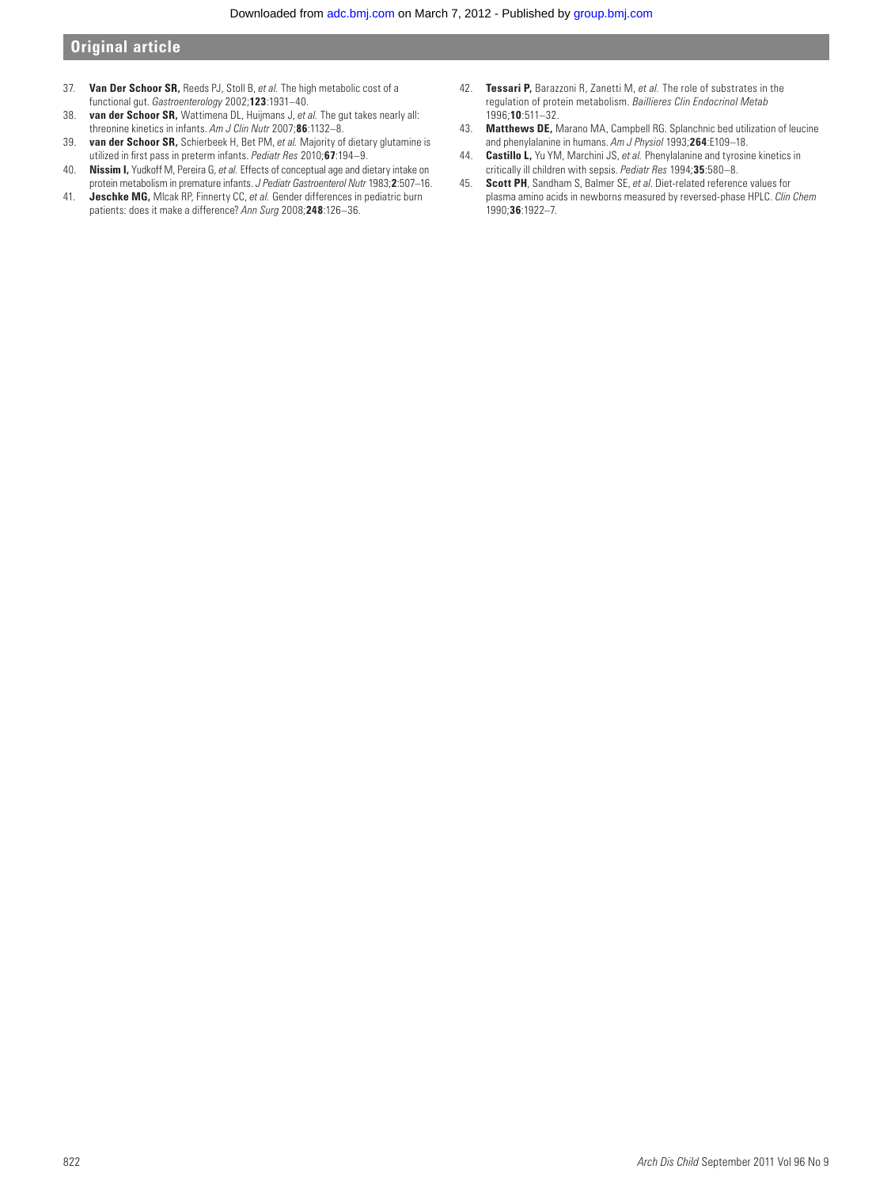# **Original article**

- 37. **Van Der Schoor SR,** Reeds PJ, Stoll B, *et al.* The high metabolic cost of a functional gut. *Gastroenterology* 2002 ; **123** : 1931 – 40 .
- 38. **van der Schoor SR,** Wattimena DL, Huijmans J, *et al.* The gut takes nearly all: threonine kinetics in infants. Am J Clin Nutr 2007;86:1132-8.
- 39. **van der Schoor SR,** Schierbeek H, Bet PM, *et al.* Majority of dietary glutamine is utilized in first pass in preterm infants. Pediatr Res 2010;67:194-9.
- 40. **Nissim I,** Yudkoff M, Pereira G, *et al.* Effects of conceptual age and dietary intake on protein metabolism in premature infants. *J Pediatr Gastroenterol Nutr* 1983 ; **2** : 507 – 16 .
- 41. **Jeschke MG,** Mlcak RP, Finnerty CC, *et al.* Gender differences in pediatric burn patients: does it make a difference? Ann Surg 2008;248:126-36.
- 42. **Tessari P,** Barazzoni R, Zanetti M, *et al.* The role of substrates in the regulation of protein metabolism. *Baillieres Clin Endocrinol Metab* 1996 ; **10** : 511 – 32 .
- 43. **Matthews DE,** Marano MA, Campbell RG. Splanchnic bed utilization of leucine and phenylalanine in humans. Am J Physiol 1993; 264:E109-18.
- 44. **Castillo L,** Yu YM, Marchini JS, *et al.* Phenylalanine and tyrosine kinetics in critically ill children with sepsis. Pediatr Res 1994; 35:580-8.
- 45. **Scott PH**, Sandham S, Balmer SE, *et al*. Diet-related reference values for plasma amino acids in newborns measured by reversed-phase HPLC. *Clin Chem* 1990;**36**:1922–7.